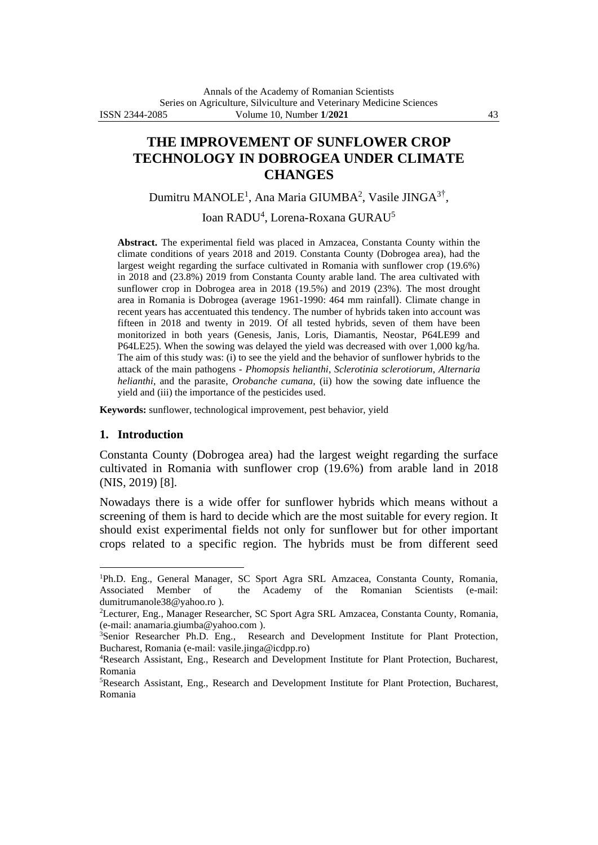# **THE IMPROVEMENT OF SUNFLOWER CROP TECHNOLOGY IN DOBROGEA UNDER CLIMATE CHANGES**

Dumitru MANOLE<sup>1</sup>, Ana Maria GIUMBA<sup>2</sup>, Vasile JINGA<sup>3†</sup>,

Ioan RADU<sup>4</sup>, Lorena-Roxana GURAU<sup>5</sup>

**Abstract.** The experimental field was placed in Amzacea, Constanta County within the climate conditions of years 2018 and 2019. Constanta County (Dobrogea area), had the largest weight regarding the surface cultivated in Romania with sunflower crop (19.6%) in 2018 and (23.8%) 2019 from Constanta County arable land. The area cultivated with sunflower crop in Dobrogea area in 2018 (19.5%) and 2019 (23%). The most drought area in Romania is Dobrogea (average 1961-1990: 464 mm rainfall). Climate change in recent years has accentuated this tendency. The number of hybrids taken into account was fifteen in 2018 and twenty in 2019. Of all tested hybrids, seven of them have been monitorized in both years (Genesis, Janis, Loris, Diamantis, Neostar, P64LE99 and P64LE25). When the sowing was delayed the yield was decreased with over 1,000 kg/ha. The aim of this study was: (i) to see the yield and the behavior of sunflower hybrids to the attack of the main pathogens - *Phomopsis helianthi*, *Sclerotinia sclerotiorum*, *Alternaria helianthi*, and the parasite, *Orobanche cumana,* (ii) how the sowing date influence the yield and (iii) the importance of the pesticides used.

**Keywords:** sunflower, technological improvement, pest behavior, yield

#### **1. Introduction**

Constanta County (Dobrogea area) had the largest weight regarding the surface cultivated in Romania with sunflower crop (19.6%) from arable land in 2018 (NIS, 2019) [8].

Nowadays there is a wide offer for sunflower hybrids which means without a screening of them is hard to decide which are the most suitable for every region. It should exist experimental fields not only for sunflower but for other important crops related to a specific region. The hybrids must be from different seed

<sup>&</sup>lt;sup>1</sup>Ph.D. Eng., General Manager, SC Sport Agra SRL Amzacea, Constanta County, Romania, Associated Member of the Academy of the Romanian Scientists (e-mail: the Academy of the Romanian Scientists (e-mail: [dumitrumanole38@yahoo.ro](mailto:dumitrumanole38@yahoo.ro) ).

<sup>2</sup>Lecturer, Eng., Manager Researcher, SC Sport Agra SRL Amzacea, Constanta County, Romania, (e-mail: [anamaria.giumba@yahoo.com](mailto:anamaria.giumba@yahoo.com) ).

<sup>&</sup>lt;sup>3</sup>Senior Researcher Ph.D. Eng., Research and Development Institute for Plant Protection, Bucharest, Romania (e-mail: [vasile.jinga@icdpp.ro\)](mailto:vasile.jinga@icdpp.ro)

<sup>4</sup>Research Assistant, Eng., Research and Development Institute for Plant Protection, Bucharest, Romania

<sup>5</sup>Research Assistant, Eng., Research and Development Institute for Plant Protection, Bucharest, Romania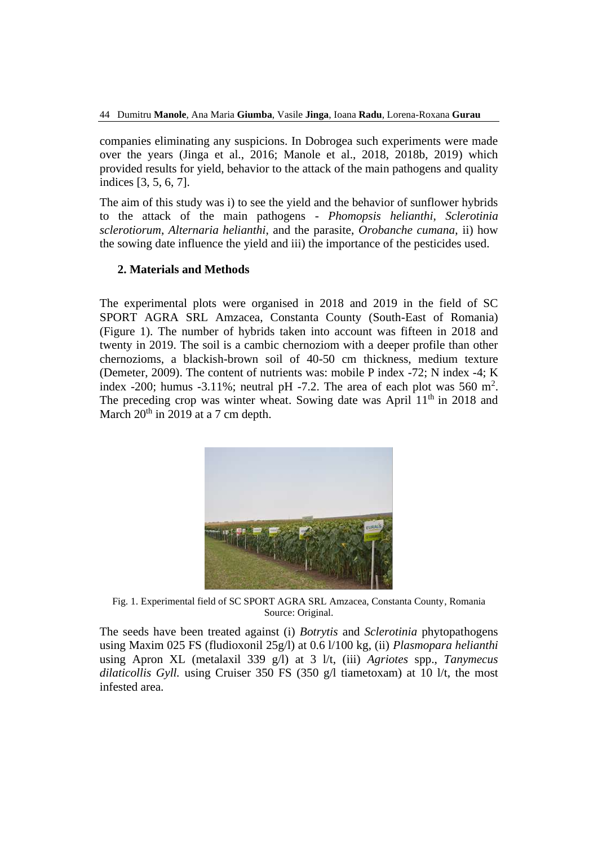companies eliminating any suspicions. In Dobrogea such experiments were made over the years (Jinga et al., 2016; Manole et al., 2018, 2018b, 2019) which provided results for yield, behavior to the attack of the main pathogens and quality indices [3, 5, 6, 7].

The aim of this study was i) to see the yield and the behavior of sunflower hybrids to the attack of the main pathogens - *Phomopsis helianthi*, *Sclerotinia sclerotiorum*, *Alternaria helianthi*, and the parasite, *Orobanche cumana*, ii) how the sowing date influence the yield and iii) the importance of the pesticides used.

### **2. Materials and Methods**

The experimental plots were organised in 2018 and 2019 in the field of SC SPORT AGRA SRL Amzacea, Constanta County (South-East of Romania) (Figure 1). The number of hybrids taken into account was fifteen in 2018 and twenty in 2019. The soil is a cambic chernoziom with a deeper profile than other chernozioms, a blackish-brown soil of 40-50 cm thickness, medium texture (Demeter, 2009). The content of nutrients was: mobile P index -72; N index -4; K index -200; humus -3.11%; neutral pH -7.2. The area of each plot was 560  $m^2$ . The preceding crop was winter wheat. Sowing date was April  $11<sup>th</sup>$  in 2018 and March  $20^{th}$  in  $2019$  at a 7 cm depth.



Fig. 1. Experimental field of SC SPORT AGRA SRL Amzacea, Constanta County, Romania Source: Original.

The seeds have been treated against (i) *Botrytis* and *Sclerotinia* phytopathogens using Maxim 025 FS (fludioxonil 25g/l) at 0.6 l/100 kg, (ii) *Plasmopara helianthi* using Apron XL (metalaxil 339 g/l) at 3 l/t, (iii) *Agriotes* spp., *Tanymecus dilaticollis Gyll.* using Cruiser 350 FS (350 g/l tiametoxam) at 10 l/t, the most infested area.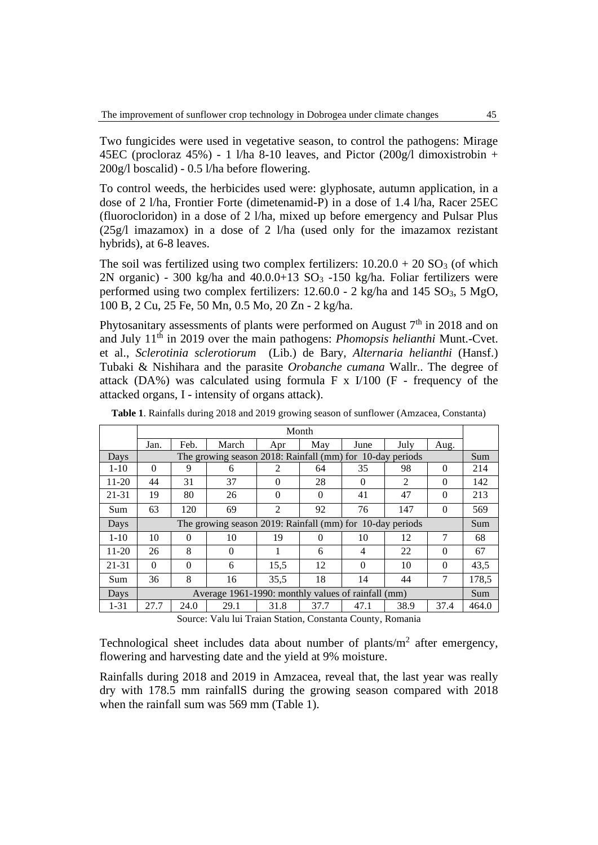Two fungicides were used in vegetative season, to control the pathogens: Mirage 45EC (procloraz 45%) - 1 l/ha 8-10 leaves, and Pictor  $(200g/d)$  dimoxistrobin + 200g/l boscalid) - 0.5 l/ha before flowering.

To control weeds, the herbicides used were: glyphosate, autumn application, in a dose of 2 l/ha, Frontier Forte (dimetenamid-P) in a dose of 1.4 l/ha, Racer 25EC (fluorocloridon) in a dose of 2 l/ha, mixed up before emergency and Pulsar Plus (25g/l imazamox) in a dose of 2 l/ha (used only for the imazamox rezistant hybrids), at 6-8 leaves.

The soil was fertilized using two complex fertilizers:  $10.20.0 + 20 \text{ SO}_3$  (of which 2N organic) - 300 kg/ha and  $40.0.0+13$  SO<sub>3</sub> -150 kg/ha. Foliar fertilizers were performed using two complex fertilizers:  $12.60.0 - 2$  kg/ha and  $145$  SO<sub>3</sub>,  $5$  MgO, 100 B, 2 Cu, 25 Fe, 50 Mn, 0.5 Mo, 20 Zn - 2 kg/ha.

Phytosanitary assessments of plants were performed on August  $7<sup>th</sup>$  in 2018 and on and July 11th in 2019 over the main pathogens: *Phomopsis helianthi* Munt.-Cvet. et al., *Sclerotinia sclerotiorum* (Lib.) de Bary, *Alternaria helianthi* (Hansf.) Tubaki & Nishihara and the parasite *Orobanche cumana* Wallr.. The degree of attack (DA%) was calculated using formula  $\overline{F}$  x I/100 ( $\overline{F}$  - frequency of the attacked organs, I - intensity of organs attack).

|           | Month                                                     |          |          |                |          |          |                |          |       |
|-----------|-----------------------------------------------------------|----------|----------|----------------|----------|----------|----------------|----------|-------|
|           | Jan.                                                      | Feb.     | March    | Apr            | May      | June     | July           | Aug.     |       |
| Days      | The growing season 2018: Rainfall (mm) for 10-day periods |          |          |                |          |          |                | Sum      |       |
| $1 - 10$  | $\Omega$                                                  | 9        | 6        | $\overline{2}$ | 64       | 35       | 98             | $\Omega$ | 214   |
| 11-20     | 44                                                        | 31       | 37       | $\Omega$       | 28       | $\Omega$ | $\mathfrak{D}$ | $\Omega$ | 142   |
| 21-31     | 19                                                        | 80       | 26       | $\Omega$       | $\Omega$ | 41       | 47             | $\theta$ | 213   |
| Sum       | 63                                                        | 120      | 69       | $\mathfrak{D}$ | 92       | 76       | 147            | $\Omega$ | 569   |
| Days      | The growing season 2019: Rainfall (mm) for 10-day periods |          |          |                |          |          | Sum            |          |       |
| $1 - 10$  | 10                                                        | $\Omega$ | 10       | 19             | $\Omega$ | 10       | 12             | 7        | 68    |
| $11 - 20$ | 26                                                        | 8        | $\Omega$ |                | 6        | 4        | 22             | $\Omega$ | 67    |
| $21 - 31$ | $\Omega$                                                  | $\Omega$ | 6        | 15.5           | 12       | $\Omega$ | 10             | $\Omega$ | 43,5  |
| Sum       | 36                                                        | 8        | 16       | 35,5           | 18       | 14       | 44             | 7        | 178,5 |
| Days      | Average 1961-1990: monthly values of rainfall (mm)        |          |          |                |          |          | Sum            |          |       |
| $1 - 31$  | 27.7                                                      | 24.0     | 29.1     | 31.8           | 37.7     | 47.1     | 38.9           | 37.4     | 464.0 |

**Table 1**. Rainfalls during 2018 and 2019 growing season of sunflower (Amzacea, Constanta)

Source: Valu lui Traian Station, Constanta County, Romania

Technological sheet includes data about number of plants/ $m<sup>2</sup>$  after emergency, flowering and harvesting date and the yield at 9% moisture.

Rainfalls during 2018 and 2019 in Amzacea, reveal that, the last year was really dry with 178.5 mm rainfallS during the growing season compared with 2018 when the rainfall sum was 569 mm (Table 1).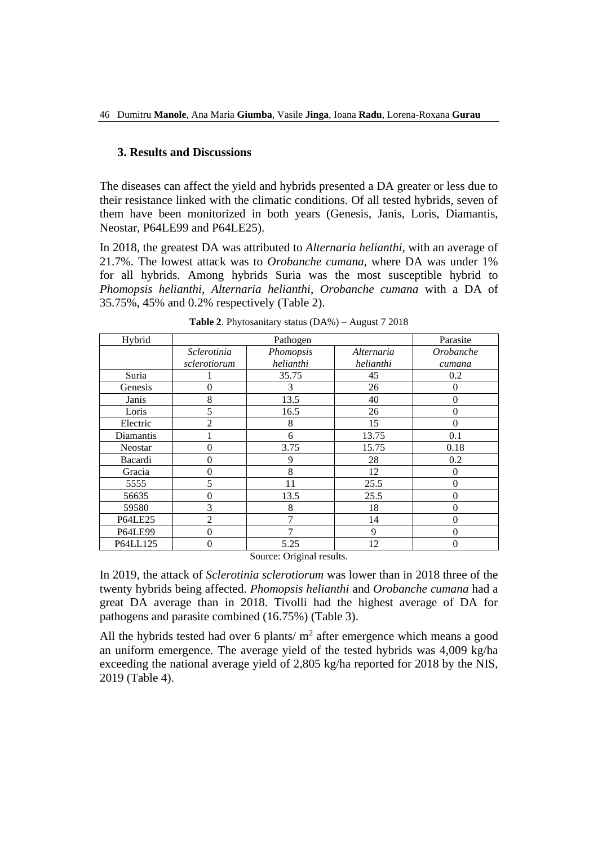#### **3. Results and Discussions**

The diseases can affect the yield and hybrids presented a DA greater or less due to their resistance linked with the climatic conditions. Of all tested hybrids, seven of them have been monitorized in both years (Genesis, Janis, Loris, Diamantis, Neostar, P64LE99 and P64LE25).

In 2018, the greatest DA was attributed to *Alternaria helianthi*, with an average of 21.7%. The lowest attack was to *Orobanche cumana*, where DA was under 1% for all hybrids. Among hybrids Suria was the most susceptible hybrid to *Phomopsis helianthi*, *Alternaria helianthi*, *Orobanche cumana* with a DA of 35.75%, 45% and 0.2% respectively (Table 2).

| Hybrid         |                | Parasite  |            |           |
|----------------|----------------|-----------|------------|-----------|
|                | Sclerotinia    | Phomopsis | Alternaria | Orobanche |
|                | sclerotiorum   | helianthi | helianthi  | cumana    |
| Suria          |                | 35.75     | 45         | 0.2       |
| Genesis        | $\theta$       | 3         | 26         | $\Omega$  |
| Janis          | 8              | 13.5      | 40         | $\Omega$  |
| Loris          | 5              | 16.5      | 26         | $\Omega$  |
| Electric       | $\overline{2}$ | 8         | 15         | 0         |
| Diamantis      |                | 6         | 13.75      | 0.1       |
| Neostar        | $\overline{0}$ | 3.75      | 15.75      | 0.18      |
| Bacardi        | $\overline{0}$ | 9         | 28         | 0.2       |
| Gracia         | $\overline{0}$ | 8         | 12         | 0         |
| 5555           | 5              | 11        | 25.5       | $\theta$  |
| 56635          | $\overline{0}$ | 13.5      | 25.5       | $\theta$  |
| 59580          | 3              | 8         | 18         | $\Omega$  |
| <b>P64LE25</b> | $\overline{2}$ | 7         | 14         | $\theta$  |
| <b>P64LE99</b> | $\theta$       | 7         | 9          | $\Omega$  |
| P64LL125       | $\overline{0}$ | 5.25      | 12         | $\Omega$  |

Source: Original results.

In 2019, the attack of *Sclerotinia sclerotiorum* was lower than in 2018 three of the twenty hybrids being affected. *Phomopsis helianthi* and *Orobanche cumana* had a great DA average than in 2018. Tivolli had the highest average of DA for pathogens and parasite combined (16.75%) (Table 3).

All the hybrids tested had over 6 plants/ $m<sup>2</sup>$  after emergence which means a good an uniform emergence. The average yield of the tested hybrids was 4,009 kg/ha exceeding the national average yield of 2,805 kg/ha reported for 2018 by the NIS, 2019 (Table 4).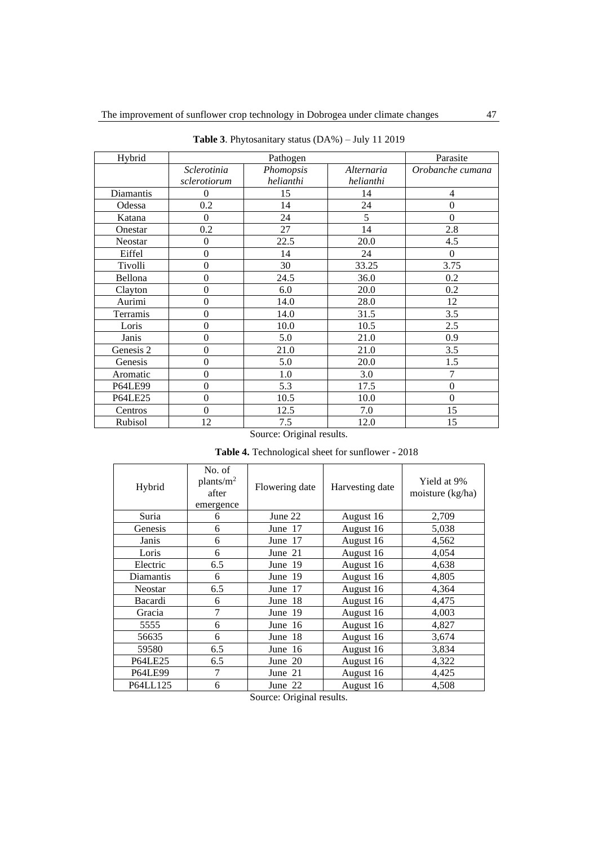| Hybrid         |                  | Parasite  |            |                  |
|----------------|------------------|-----------|------------|------------------|
|                | Sclerotinia      | Phomopsis | Alternaria | Orobanche cumana |
|                | sclerotiorum     | helianthi | helianthi  |                  |
| Diamantis      | $\theta$         | 15        | 14         | 4                |
| Odessa         | 0.2              | 14        | 24         | $\mathbf{0}$     |
| Katana         | $\theta$         | 24        | 5          | $\mathbf{0}$     |
| Onestar        | 0.2              | 27        | 14         | 2.8              |
| <b>Neostar</b> | $\overline{0}$   | 22.5      | 20.0       | 4.5              |
| Eiffel         | $\mathbf{0}$     | 14        | 24         | $\theta$         |
| Tivolli        | $\boldsymbol{0}$ | 30        | 33.25      | 3.75             |
| Bellona        | $\boldsymbol{0}$ | 24.5      | 36.0       | 0.2              |
| Clayton        | $\mathbf{0}$     | 6.0       | 20.0       | 0.2              |
| Aurimi         | $\overline{0}$   | 14.0      | 28.0       | 12               |
| Terramis       | $\mathbf{0}$     | 14.0      | 31.5       | 3.5              |
| Loris          | $\mathbf{0}$     | 10.0      | 10.5       | 2.5              |
| Janis          | $\overline{0}$   | 5.0       | 21.0       | 0.9              |
| Genesis 2      | $\boldsymbol{0}$ | 21.0      | 21.0       | 3.5              |
| Genesis        | $\mathbf{0}$     | 5.0       | 20.0       | 1.5              |
| Aromatic       | $\mathbf{0}$     | 1.0       | 3.0        | 7                |
| <b>P64LE99</b> | $\boldsymbol{0}$ | 5.3       | 17.5       | $\boldsymbol{0}$ |
| <b>P64LE25</b> | $\boldsymbol{0}$ | 10.5      | 10.0       | $\mathbf{0}$     |
| Centros        | $\overline{0}$   | 12.5      | 7.0        | 15               |
| Rubisol        | 12               | 7.5       | 12.0       | 15               |

**Table 3**. Phytosanitary status (DA%) – July 11 2019

#### Source: Original results.

**Table 4.** Technological sheet for sunflower - 2018

| Hybrid         | No. of<br>plants/m <sup>2</sup><br>after<br>emergence | Flowering date | Harvesting date | Yield at 9%<br>moisture (kg/ha) |
|----------------|-------------------------------------------------------|----------------|-----------------|---------------------------------|
| Suria          | 6                                                     | June 22        | August 16       | 2,709                           |
| Genesis        | 6                                                     | June 17        | August 16       | 5,038                           |
| Janis          | 6                                                     | June 17        | August 16       | 4,562                           |
| Loris          | 6                                                     | June 21        | August 16       | 4,054                           |
| Electric       | 6.5                                                   | June 19        | August 16       | 4,638                           |
| Diamantis      | 6                                                     | June 19        | August 16       | 4,805                           |
| <b>Neostar</b> | 6.5                                                   | June 17        | August 16       | 4,364                           |
| Bacardi        | 6                                                     | June 18        | August 16       | 4,475                           |
| Gracia         | 7                                                     | June 19        | August 16       | 4,003                           |
| 5555           | 6                                                     | June 16        | August 16       | 4,827                           |
| 56635          | 6                                                     | June 18        | August 16       | 3,674                           |
| 59580          | 6.5                                                   | June 16        | August 16       | 3,834                           |
| <b>P64LE25</b> | 6.5                                                   | June 20        | August 16       | 4,322                           |
| <b>P64LE99</b> | 7                                                     | June 21        | August 16       | 4,425                           |
| P64LL125       | 6                                                     | June 22        | August 16       | 4,508                           |

Source: Original results.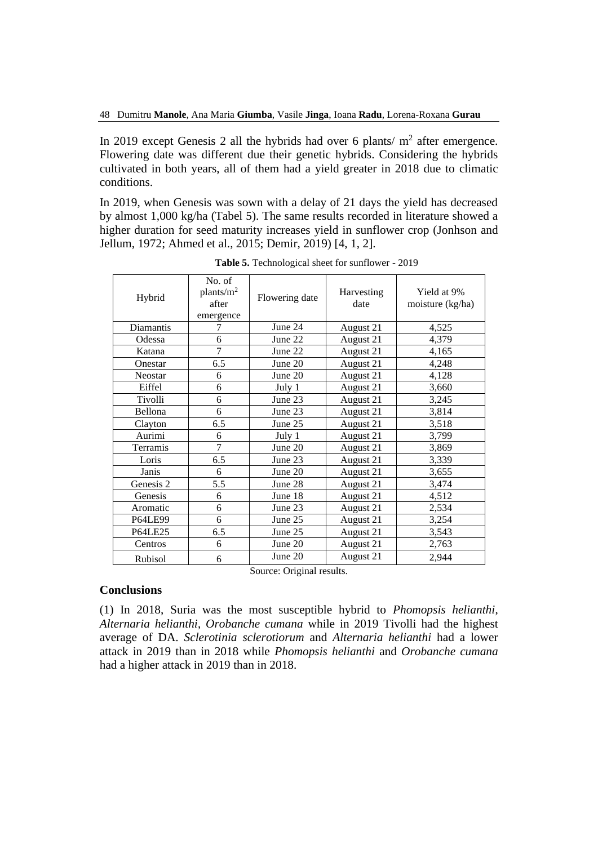In 2019 except Genesis 2 all the hybrids had over 6 plants/  $m<sup>2</sup>$  after emergence. Flowering date was different due their genetic hybrids. Considering the hybrids cultivated in both years, all of them had a yield greater in 2018 due to climatic conditions.

In 2019, when Genesis was sown with a delay of 21 days the yield has decreased by almost 1,000 kg/ha (Tabel 5). The same results recorded in literature showed a higher duration for seed maturity increases yield in sunflower crop (Jonhson and Jellum, 1972; Ahmed et al., 2015; Demir, 2019) [4, 1, 2].

| Hybrid         | No. of<br>plants/m <sup>2</sup><br>after<br>emergence | Flowering date | Harvesting<br>date | Yield at 9%<br>moisture $(kg/ha)$ |
|----------------|-------------------------------------------------------|----------------|--------------------|-----------------------------------|
| Diamantis      | 7                                                     | June 24        | August 21          | 4,525                             |
| Odessa         | 6                                                     | June 22        | August 21          | 4,379                             |
| Katana         | 7                                                     | June 22        | August 21          | 4,165                             |
| Onestar        | 6.5                                                   | June 20        | August 21          | 4,248                             |
| Neostar        | 6                                                     | June 20        | August 21          | 4,128                             |
| Eiffel         | 6                                                     | July 1         | August 21          | 3,660                             |
| Tivolli        | 6                                                     | June 23        | August 21          | 3,245                             |
| Bellona        | 6                                                     | June 23        | August 21          | 3,814                             |
| Clayton        | 6.5                                                   | June 25        | August 21          | 3,518                             |
| Aurimi         | 6                                                     | July 1         | August 21          | 3,799                             |
| Terramis       | $\overline{7}$                                        | June 20        | August 21          | 3,869                             |
| Loris          | 6.5                                                   | June 23        | August 21          | 3,339                             |
| Janis          | 6                                                     | June 20        | August 21          | 3,655                             |
| Genesis 2      | 5.5                                                   | June 28        | August 21          | 3,474                             |
| Genesis        | 6                                                     | June 18        | August 21          | 4,512                             |
| Aromatic       | 6                                                     | June 23        | August 21          | 2,534                             |
| <b>P64LE99</b> | 6                                                     | June 25        | August 21          | 3,254                             |
| <b>P64LE25</b> | 6.5                                                   | June 25        | August 21          | 3,543                             |
| Centros        | 6                                                     | June 20        | August 21          | 2,763                             |
| <b>Rubisol</b> | 6                                                     | June 20        | August 21          | 2,944                             |

**Table 5.** Technological sheet for sunflower - 2019

Source: Original results.

#### **Conclusions**

(1) In 2018, Suria was the most susceptible hybrid to *Phomopsis helianthi*, *Alternaria helianthi*, *Orobanche cumana* while in 2019 Tivolli had the highest average of DA. *Sclerotinia sclerotiorum* and *Alternaria helianthi* had a lower attack in 2019 than in 2018 while *Phomopsis helianthi* and *Orobanche cumana* had a higher attack in 2019 than in 2018.